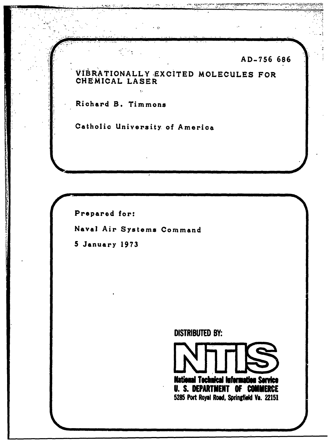AD-756 686

VIBRATIONALLY EXCITED MOLECULES FOR CHEMICAL LASER

e in

Richard B. Timmons

ष्ट्री अञ्चल<br>पु

Catholic University of America

 $\ddot{\mathbf{r}}$ 

Prepared for:

Naval Air Systems Command

5 January 1973

**DISTRIBUTED BY:** 

National Tochnical Information Service **U. S. DEPARTMENT OF COMMERCE** 5285 Port Royal Road, Springfield Va. 22151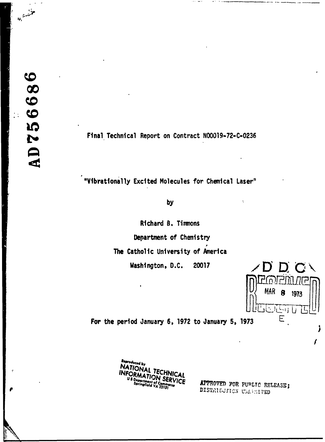H.<sup>3</sup> with

Final Technical Report on Contract N00019-72-C-0236

"Vibrationally Excited Molecules for Chemical Laser"

# by

Richard B. Timmons Department of Chemistry The Catholic University of America Washington, D.C. 20017



λ

ſ

For the period January 6, 1972 to January 5, 1973



APPROVED FOR PURLIC RELEASE; DISTRIBUTION UMBERITED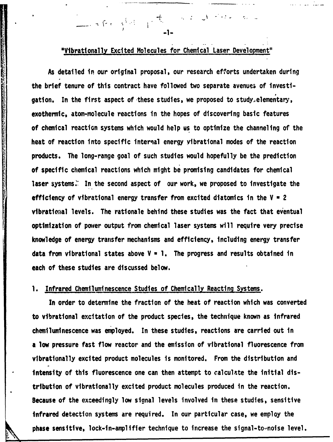"Vibrationally Excited Molecules for Chemical Laser Development"

<sup>j</sup>**-1-**

As detailed in our original proposal, our research efforts undertaken during the brief tenure of this contract have followed two separate avenues of investigation. In the first aspect of these studies, we proposed to study<sub>></sub>elementary, exothermic, atom-molecule reactions in the hopes of discovering basic features of chemical reaction systems which would help us to optimize the channeling of the heat of reaction into specific internal energy vibrational modes of the reaction products. The long-range goal of such studies would hopefully be the prediction of specific chemical reactions which might be promising candidates for chemical laser systems. In the second aspect of our work, we proposed to investigate the efficiency of vibrational energy transfer from excited diatomics in the V **a** 2 vibrational levels. The rationale behind these studies was the fact that eventual optimization of power output from chemical laser systems will require very precise knowledge of energy transfer mechanisms and efficiency, including energy transfer data from vibrational states above V **a 1.** The progress and results obtained in each of these studies are discussed below.

## **1.** Infrared Chemiluminescence Studies of Chemically Reacting Systems.

In order to determine the fraction of the heat of reaction which was converted to vibrational excitation of the product species, the technique known as infrared chemiluminescence was employed. In these studies, reactions are carried out in a low pressure fast flow reactor and the emission of vibrational fluorescence from vibrationally excited product molecules is monitored. From the distribution and intensity of this fluorescence one can then attempt to calculate the initial distribution of vibrationally excited product molecules produced in the reaction. Because of the exceedingly low signal levels involved in these studies, sensitive infrared detection systems are required. In our particular case, we employ the phase sensitive, lock-in-amplifier technique to increase the signal-to-noise level.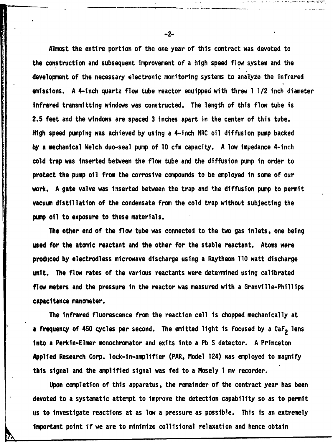Almost the entire portion of the one year of this contract was devoted to the construction and subsequent improvement of a high speed flow system and the development of the necessary electronic moritoring systems to analyze. the infrared emissions. **A** 4-inch quartz flow tube reactor equipped with three **1** 1/2 inch diameter infrared transmitting windows was constructed. The length of this **flow** tube is 2.5 feet and the windows are spaced **3** inches apart in the center of this tube. High speed pumping was achieved **by** using a 4-inch NRC oil diffusion pump backed **by a** mechanical Welch duo-seal pump of **10 cfm** capacity. **A** low impedance 4-inch cold trap was inserted between the flow tube and the diffusion pump in order to protect the pump oil from the corrosive compounds to be employed in some of our work. **A** gate valve was inserted between the trap and the diffusion pump to permit vacuum distillation of the condensate from the cold trap without subjecting the pump oil to exposure to these materials.

うちょうかん こうしんどう にんしゅう かんきん たいしょう しんしょう こうしょう きんきょう しゅうしょう こうしょう アウトラス きょうしょう きょうしょう アクセス きゅうきゅう こうしょう

The other end of the flow tube was connected to the two gas inlets, one being used for the atomic reactant and the other for the stable reactant. Atoms were produced **by** electrodless microwave discharge using a Raytheon **110** watt discharge unit. The flow rates of the various reactants were determined using calibrated flow meters and the pressure in the reactor was measured with a Granville-Phillips capacitance manometer.

The infrared fluorescence from the reaction cell is chopped mechanically at a frequency of 450 cycles per second. The emitted light is focused by a CaF<sub>2</sub> lens into a Perkin-Elmer monochromator and exits into a **Pb** S detector. **A** Princeton Applied Research Corp. lock-in-amplifier (PAR, Model 124) was employed to magnify this signal and the amplified signal was fed to a Mosely **1 mv** recorder.

Upon completion of this apparatus, the remainder of the contract year has been devoted to a systematic attempt to improve the detection capability so as to permit us to investigate reactions at as low a pressure as possible. This is an extremely important point if we are to minimize collisional relaxation and hence obtain

-2-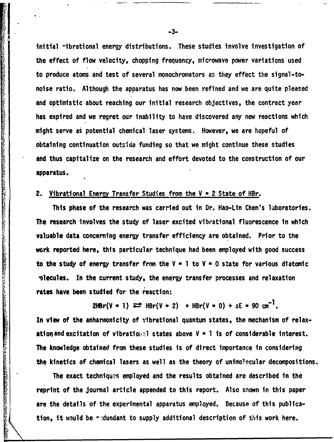initial "ibrational energy distributions. These studies involve investigation of the effect of flow velocity, chopping frequency, microwave power variations used to produce atoms and test of several monochromators as they effect the signal-tonoise ratio. Although the apparatus has now been refined and we are quite pleased and optimistic about reaching our initial research objectives, the contract year has expired and we regret our inability to have discovered any new reactions which might serve **as** potential chemical laser systems. However, we are hopeful of obtaining continuation outside funding so that we might continue these studies and thus capitalize on the research and effort devoted to the construction of our apparatus. thitial "thrational energy distributions. These studies involve investigation<br>the effect of Tow velocity, chopping frequency, microwave gomer variations use<br>to produce atoms and test of several monochromators as they effe

## 2. Vibrational Energy Transfer Studies from the V **=** 2 State of HBr.

This phase of the research was carried out in Dr. Hao-Lin Chen's laboratories. **The** research involves the study of laser excited vibrational fluorescence in which valuable data concerning energy transfer efficiency are obtained. Prior to the work reported here, this particular technique had been employed with good success to the study of energy transfer from the  $V = 1$  to  $V = 0$  state for various diatomic olecules. In the current study, the energy transfer processes and relaxation **rates have been** studied for the reaction:

 $2HBr(V = 1) \implies HBr(V = 2) + HBr(V = 0) + AE = 90 cm^{-1}$ .

In view of the anhannonicity of vibrational quantum states, the mechanism of relaxationand excitation of vlbratiov'l states above V **-1 Is** of considerable interest. The knowledge obtained from these studies is of direct importance in considering the kinetics of chemical lasers as well as the theory of unimolecular decompositions.

The exact techniques employed and the results obtained are described in the reprint of the journal article appended to this report. Also snown in this paper are the details of the experimental apparatus employed. Because of this publica-

**-3-**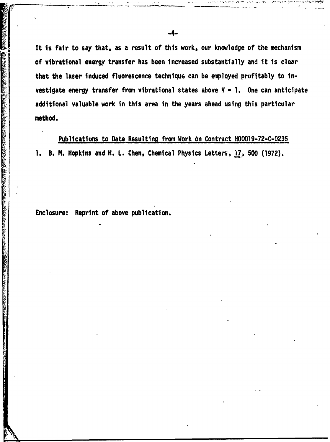It is fair to say that, as a result of this work, our knovledge of the mechanism of vibrational energy transfer has been increased substantially and it is clear that the laser induced fluorescence technique can be employed profitably to investigate energy transfer from vibrational states above  $\mathcal{V} = \mathcal{I}$ . One can anticipate additional valuable work in this area in the years ahead using this particular method.

Publications to Date Resulting from Work on Contract **N00019-72-C-0236 1. B. M. Hopkins and H. L. Chen, Chemical Physics Letters, 17, 500 (1972).** 

Enclosure: Reprint of above publication.

a di seri dan di sebagai di seri dan di seri di seri di seri dan di seri dan di seri dan di seri dan di seri d<br>Caratan di seri di seri di seri di seri di seri di seri di seri di seri di seri di seri di seri di seri di ser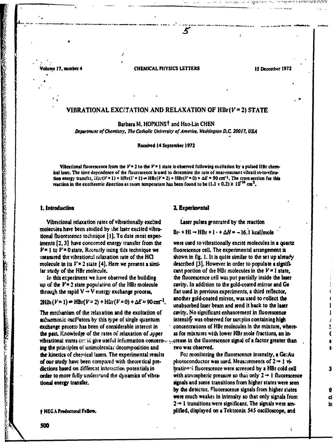'olume 17, number 4

### **CHEMICAL PHYSICS LETTERS**

5

15 December 1972

## VIBRATIONAL EXCITATION AND RELAXATION OF HBr( $V = 2$ ) STATE

Barbara M. HOPKINST and Hao-Lin CHEN

Department of Chemistry, The Catholic University of America, Washington D.C. 20017, USA

Received 14 September 1972

Vibrational fluorescence from the  $V=2$  to the  $V=1$  state is observed following excitation by a pulsed HBr chemical laser. The time dependence of the fluorescence is used to determine the rate of near-resonant vibrati m-to-vibration energy transfer,  $i(i)(V=1) + HRV(T=1) \rightarrow HRV(T=2) + HBV(T=0) + \Delta E = 90 \text{ cm}^{-1}$ . The cross section for this reaction in the exothermic direction at room temperature has been found to be (1.1  $\pm$  0.2)  $\times$  10<sup>16</sup> cm<sup>2</sup>.

### 1. Introduction

Vibrational relaxation rates of vibrationally excited molecules have been studied by the laser excited vibrational fluorescence technique [1]. To date most experiments [2, 3] have concerned energy transfer from the  $V=1$  to  $V=0$  state. Recently using this technique we measured the vibrational relaxation rate of the HCI molecule in its  $V = 2$  state [4]. Here we present a similar study of the HBr molecule.

In this experiment we have observed the building up of the  $V = 2$  state population of the HBr molecule through the rapid  $V \rightarrow V$  energy exchange process,

 $2HB_1(V=1)$   $\neq$  HBr( $V=2$ )  $+$  HBr( $V=0$ )  $+ \Delta E = 90 \text{ cm}^{-1}$ .

The mechanism of the relaxation and the excitation of auharmonic oscillators by this type of single quantum exchange process has been of considerable interest in the past. Knowledge of the rates of relaxation of upper vibrational states cental give useful information concerning the principles of unimolecular decomposition and the kinetics of chemical lasers. The experimental results of our study have been compared with theoretical predictions based on different interaction potentials in order to more fully understand the dynamics of vibrational energy transfer.

† NDEA Predoctoral Feliow.

### 2. Experimental

Laser pulses generated by the reaction

Br + HI -+ HBr + I · +  $\Delta H$  = -16.1 kcal/mole

were used to vibrationally excite molecules in a quartz fluorescence cell. The experimental arrangement is shown in fig. 1. It is quite similar to the set up already described [3]. However in order to populate a significant portion of the HBr molecules in the  $V = 1$  state, the fluorescence cell was put partially inside the laser cavity. In addition to the gold-coated mirror and Ge flat used in previous experiments, a third reflector, another gold-coated mirror, was used to collect the unabsorbed laser beam and send it back to the laser cavity. No significant enhancement in fluorescence intensity was observed for samples containing high concentrations of HBr molecules in the mixture, whereas for mixtures with lower HBr mole fractions, an increase in the fluorescence signal of a factor greater than two was observed.

J

3

d

in

÷

For monitoring the fluorescence intensity, a Ge:Au photoconductor was used. Measurements of  $2 \rightarrow 1$  vibrational fluorescence were screened by a HBr cold cell with atmospheric pressure so that only  $2 \rightarrow 1$  fluorescence signals and some transitions from higher states were seen by the detector. Fluorescence signals from higher states were much weaker in intensity so that only signals from  $2 \rightarrow 1$  transitions were significant. The signals were amplified, displayed on a Tektronix 545 oscilloscope, and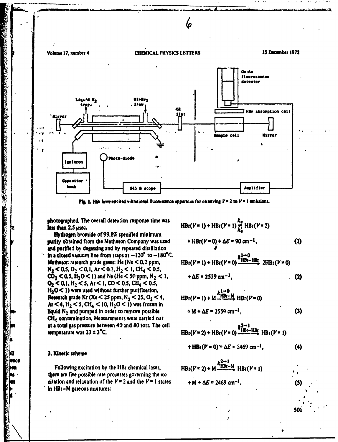

Fig. 1. Hilf lass-excited vibrational fluorescence apparatus for observing  $V = 2$  to  $V = 1$  emissions.

photographed. The overall detection response time was less than 2.5 usec.

Hydrogen bromide of 99.8% specified minimum purity obtained from the Matheson Company was used and purified by degassing and by repeated distillation in a closed vacuum line from traps at  $-120^{\circ}$  to  $-180^{\circ}$ C. **Matheson** research grade gases: He (Ne  $<$  0.2 ppm,  $N_2 < 0.5$ , O<sub>2</sub> < 0.1, Ar < 0.1, H<sub>2</sub> < 1, CH<sub>4</sub> < 0.5,  $CO<sub>2</sub> < 0.5$ ,  $H<sub>2</sub>O < 1$ ) and Ne (He < 50 ppm, N<sub>2</sub> < 1,  $O_2 < 0.1$ ,  $H_2 < 5$ , Ar < 1, CO < 0.5, CH<sub>4</sub> < 0.5,  $H_2O < 1$ ) were used without further purification. **Research grade Kr** (Xe < 25 ppm, N<sub>2</sub> < 25, O<sub>2</sub> < 4, Ar < 4,  $H_2$  < 5, CH<sub>4</sub> < 10,  $H_2O$  < 1) was frozen in liquid  $N_2$  and pumped in order to remove possible CH<sub>e</sub> contamination, Measurements were carried out at a total gas pressure between 40 and 80 torr. The cell temperature was  $23 \pm 3^{\circ}C$ .

### 3. Kinetic scheme

ence

1999年,1999年19月19日, 1999年19月20日, 1999年19月19日, 1999年19月19日, 1999年19月19日, 1999年19月19日, 1999年19月19日, 1999年19月19日,

Following excitation by the HBr chemical laser, there are five possible rate processes governing the excitation and relaxation of the  $V = 2$  and the  $V = 1$  states in HBr-M gaseous mixtures:

$$
HBr(V=1) + HBr(V=1) \sum_{k_0}^{k_0} HBr(V=2)
$$
  
+ HBr(V=0) +  $\Delta E$  = 90 cm<sup>-1</sup>, (1)

$$
HBr(V=1) + HBr(V=0) \xrightarrow{k+m0} \text{RBE}-HBr(V=0)
$$

$$
+\Delta E = 2559 \text{ cm}^{-1}, \tag{2}
$$

$$
HBr(V=1) + M \xrightarrow{R_1 \to 0} HBr(V=0)
$$
  
 
$$
\div M + \Delta E = 2559 \text{ cm}^{-1}.
$$
 (3)

 $HBr(V=2) + HBr(V=0)$   $^{K}HBr-HBr$   $HBr(V=1)$ 

$$
+ HBr(V = 0) * \Delta E = 2469 \text{ cm}^{-1}, \qquad (4)
$$

50

$$
HBr(V=2) + M \xrightarrow{k_{HBE-M}^{2 \to 1}} HBr(V=1)
$$
  
+ M + \Delta E = 2469 cm<sup>-1</sup>.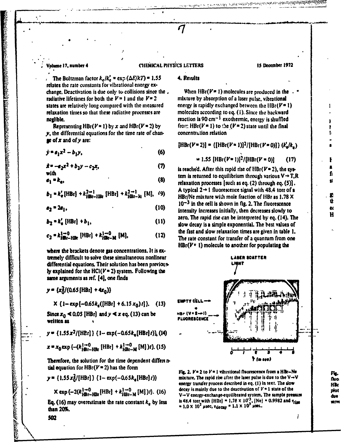## Volme **17.** number 4 **CEMICAL PHYSICS LETTERS IS** December **<sup>1972</sup>**

**The Boltzman factor**  $k_e/k_e^* = \exp(\Delta E/kT) = 1.55$  **4. Results** relates the rate constants for vibrational energy **ex**change. Deactivation is due only to collisions since the . When  $HBr(V=1)$  molecules are produced in the  $\cdot$  radiative lifetimes for both the  $V=1$  and the  $V=2$  mixture by absorption of a laser pulse, vibrational radiative lifetimes for both the  $V=1$  and the  $V=2$  mixture by absorption of a laser pulse, vibrational states are relatively long compared with the measured energy is rapidly exchanged between the HBr( $V=1$ ) states are relatively long compared with the measured relaxation times so that these radiative processes are molecules according to **eq. (1).** Since the backward useibe. reaction is **90 cm- I** exothermic. energy is shuffled

 $\mathbf{y}$ , the differential equations for the time rate of chan-<br> **ee** of **x** and of **v** are:

$$
\hat{y} = a_1 x^2 - b_1 y,\tag{6}
$$

$$
\dot{x} = -a_2x^2 + b_2y - c_2x, \qquad (7)
$$
 is reached. After this rapid rise of  $\text{HR}(V = 2)$  the cycle

$$
e_1 = k_0. \tag{8}
$$

$$
b_1 = k'_e \text{ [HBr]} + k_{\text{jBtr-1lBr}}^{2 \to 1} \text{ [HBr]} + k_{\text{jBtr-1l}}^{2 \to 1} \text{ [M]}, \quad (9)
$$

$$
a_2 = 2a_1, \t\t(10)
$$

$$
b_2 = k'_e \text{ [HBr]} + b_1, \tag{11}
$$

$$
c_2 = k_{\text{HBr-HBr}}^{1 \to 0} \text{ [HBr]} + k_{\text{HBr-M}}^{1 \to 0} \text{ [M]}, \tag{12}
$$

**where** the brackets denote **as** concentrations. It **is ex.** tremely difficult to solve these simultaneous nonlinear **LASLANGER** LASER SCATTER differential equations. Their solution has been previous. **LETT** 1998 **ly** explained for the *HCI(Va* 2) system. Following the **some** aruments **as ref. [41,** one finds

$$
y = \{x_0^2/(0.65 \text{ [HBr]} + 4x_0)\}
$$

$$
\mathsf{X} \{1-\exp[-0.65k_{\epsilon}([HBr]+6.15x_0)t]\}.
$$
 (13)

Since  $x_0 \le 0.05$  [HBr] and  $y \le x$  eq. (13) can be  $\qquad \qquad \text{ABr}$  (V  $\qquad \text{B} \rightarrow 0$ written as

$$
y = \{1.55x^2/[HBr]\} \{1 - \exp(-0.65k_{\rm e}[HBr]t)\}\ (14)
$$

$$
x = x_0 \exp \{-(k_{\text{HB1}-\text{HB2}}^{\text{1}\to0} \text{ [HB1]} + k_{\text{HB2}-\text{M}}^{\text{1}\to0} \text{ [M] } )t\}. (15)
$$

Therefore, the solution for the time dependent differs  $\boldsymbol{\alpha}$ tial equation for  $HBr(V=2)$  has the form

$$
y = \{1.55x_0^2/[HBr]\}\{1 - \exp(-0.65k_e[HBr]\})\}
$$

$$
\mathsf{K} \exp \{-2(k_{\text{HBr}-\text{HBr}}^{\text{1}\to \text{0}}[{\text{HBr}}] + k_{\text{HBr}-\text{M}}^{\text{1}\to \text{0}}[{\text{M}}])t\}. (16)
$$

**than 20%.**<br>*than 20%.* 

Representing HBr( $V = 1$ ) by x and HBr( $V = 2$ ) by from HBr( $V = 1$ ) to the  $(V = 2)$  state until the final

**-\*a** 6 **1.55** (HBr(Va 1)12/(HBr(V **- 0)] (17) f**

 $\frac{1}{2}$   $\frac{1}{2}$   $\frac{1}{2}$   $\frac{1}{2}$   $\frac{1}{2}$   $\frac{1}{2}$   $\frac{1}{2}$  is reached. After this rapid rise of HBr(V=2), the sys-<br>with  $\frac{1}{2}$   $\frac{1}{2}$   $\frac{1}{2}$   $\frac{1}{2}$   $\frac{1}{2}$   $\frac{1}{2}$   $\frac{1}{2}$   $\frac{1}{2}$   $\frac{1}{2}$  **<sup>91</sup>a ke, (8)** relaxation processes (such **as eq.** (2) through eq. **(5)). sl**  $A$  typical  $2 \rightarrow 1$  fluorescence signal with 48.4 torr of **a HBr/Ne mixture with mole fraction of HBr as 1.78 X (10) 10- 3 In** the **cell** is shown in **fig.** 2. The fluorescence 2 Intensity Increases Initially, then decreases slowly to **et b**<br>**zero.** The rapid rise can be interpreted by eq. (14). The **H b** bslow decay is a simple exponential. The best values of **kl** \_ **HIk** [HBr) **+ ,t-0 [MI,** (12) the fast and slow relaxation times are given In table **1.** The rate constant for transfer of a quantum from one  $HBr(V = 1)$  molecule to another for populating the



**Fig. 2.**  $V = 2$  to  $V = 1$  vibiational fluorescence from a HBr-Ne<br>mixture. The rapid rise after the laser pulse is due to the V $\rightarrow$ V **fully energy** transfer process described in eq. (1) in text. The slow **energy** transfer process described in eq. (1) in text. The slow and  $\frac{1}{2}$  HBr decay is mainly due to the deactivation of  $V = 1$  state of the **position** V→V energy-exchange-equilibrated system. The sample pressure **interest in a** due **Eq.** (16) may overestimate the rate constant  $k_e$  by less is 48.4 torr with  $[HBr] = 1.78 \times 10^{-3}$ ,  $[Ne] = 0.9982$  and  $\tau_{\text{lim}}$ 

æ۲W

i

t,

502

ON THE CONTRACT OF THE CONTRACT OF THE CONTRACT OF THE CONTRACT OF THE CONTRACT OF THE CONTRACT OF THE CONTRACT OF THE CONTRACT OF THE CONTRACT OF THE CONTRACT OF THE CONTRACT OF THE CONTRACT OF THE CONTRACT OF THE CONTRAC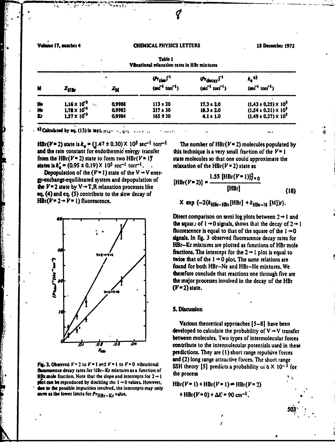Volume 17, number 4

ķ.

ことますからいいのですから、これには、これにもいいます

**Bash College** 

**Controller** 

**CONTRACTOR SECTION AND CONTRACTOR SECTIONS AND ACTIONS AND ACTIONS AND ACTIONS AND ACTIONS AND ACTIONS AND ACTIONS AND ACTIONS AND ACTIONS AND ACTIONS AND ACTIONS AND ACTIONS AND ACTIONS AND ACTIONS AND ACTIONS AND ACTION** 

あることのは

**Contract** 

**Kal** 

**Bandar** 

### **CHEMICAL PHYSICS LETTERS**

15 December 1972

| M  |                       |        | <b>Vibrational relaxation rates in HBr mixtures</b><br>$(r_{\text{rise}})^{-1}$<br>$u_{\text{decay}}$ <sup>1</sup> |                         | $k_a$ a)                        |
|----|-----------------------|--------|--------------------------------------------------------------------------------------------------------------------|-------------------------|---------------------------------|
|    | $x_{\rm HBr}$         | Äм     | $(sec^{-1} torr^{-1})$                                                                                             | $(\sec^{-1} \cot^{-1})$ | $(\sec^{-1} \text{ torr}^{-1})$ |
| He | $1.16 \times 10^{-3}$ | 0,9988 | $113 \pm 20$                                                                                                       | $17.3 \pm 2.0$          | $(1.43 \pm 0.25) \times 10^5$   |
| No | $1.78 \times 10^{-3}$ | 0.9982 | $217 \pm 30$                                                                                                       | $18.3 \pm 2.0$          | $(1.54 \pm 0.21) \times 10^5$   |
| Kr | $1.57 \times 10^{-3}$ | 0.9984 | $165 \pm 30$                                                                                                       | $4.1 \pm 1.0$           | $(1.49 \pm 0.27) \times 10^5$   |

Table 1

 $\sim$  <sup>a)</sup> Calculated by eq. (13) in text.  $m_{11} \sim 2m$ 

HBr( $V=2$ ) state is  $k_e = (1.47 \pm 0.30) \times 10^5 \text{ sec}^{-1} \text{ torr}^{-1}$ and the rate constant for endothermic energy transfer from the HBr( $V=2$ ) state to form two HBr( $V=1$ ) states is  $k'_a = (0.95 \pm 0.19) \times 10^5$  sec<sup>-1</sup> torr<sup>-1</sup>. .

 $\sum_{i=1}^{n} \frac{1}{2} \left( \frac{1}{2} \right)^{n} \left( \frac{1}{2} \right)^{n} \left( \frac{1}{2} \right)^{n} \left( \frac{1}{2} \right)^{n} \left( \frac{1}{2} \right)^{n} \left( \frac{1}{2} \right)^{n} \left( \frac{1}{2} \right)^{n} \left( \frac{1}{2} \right)^{n}$ 

**Depopulation of the (** $V = 1$ **) state of the V**  $\rightarrow$  **V ener**gy-exchange-equilibrated system and depopulation of the  $V=2$  state by  $V \rightarrow T$ , R relaxation processes like eq. (4) and eq. (5) contribute to the slow decay of  $HBr(V=2 \rightarrow V=1)$  fluorescence.



Fig. 3. Observed  $V = 2$  to  $V = 1$  and  $V = 1$  to  $V = 0$  vibrational fluorescence decay rates for !iBr-Kr mixtures as a function of **HBr mole fraction.** Note that the slope and intercepts for  $2 \rightarrow 1$ plot can be reproduced by doubling the  $1 \rightarrow 0$  values. However, due to the possible impurities involved, the intercepts may only seve as the lower limits for PrHBr-Kr value.

The number of  $HBr(V=2)$  molecules populated by this technique is a very small fraction of the  $V=1$ state molecules so that one could approximate the relaxation of the HBr( $V = 2$ ) state as

$$
[HBr(V=2)] = \frac{1.55 [HBr(V=1)]_{t=0}^2}{[HBr]}
$$
 (18)

X exp {-2( $k_{\text{HBr}-\text{HBr}}$ [HBr] +  $k_{\text{HBr}-\text{M}}$  [M]) $t$ }.

Direct comparison on semi log plots between  $2 \rightarrow 1$  and the square of  $1 \rightarrow 0$  signals, shows that the decay of  $2 \rightarrow 1$ fluorescence is equal to that of the square of the  $1 \rightarrow 0$ signals. In fig. 3 observed fluorescence decay rates for HBr-Kr mixtures are plotted as functions of HBr mole fractions. The intercept for the  $2 \rightarrow 1$  plot is equal to twice that of the  $1 \rightarrow 0$  plot. The same relations are found for both HBr-Ne and HBr-He mixtures. We therefore conclude that reactions one through five are the major processes involved in the decay of the HBr  $(V=2)$  state.

### 5. Discussion

Various theoretical approaches  $[5-8]$  have been developed to calculate the probability of  $V \rightarrow V$  transfer between molecules. Two types of intermolecular forces contribute to the intermolecular potentials used in these predictions. They are (1) short range repulsive forces and (2) long range attractive forces. The short range SSH theory [5] predicts a probability of  $6 \times 10^{-3}$  for the process

 $HBr(V=1) + HBr(V=1) \neq HBr(V=2)$ + HBr( $V = 0$ ) +  $\Delta E = 90$  cm<sup>-1</sup>.